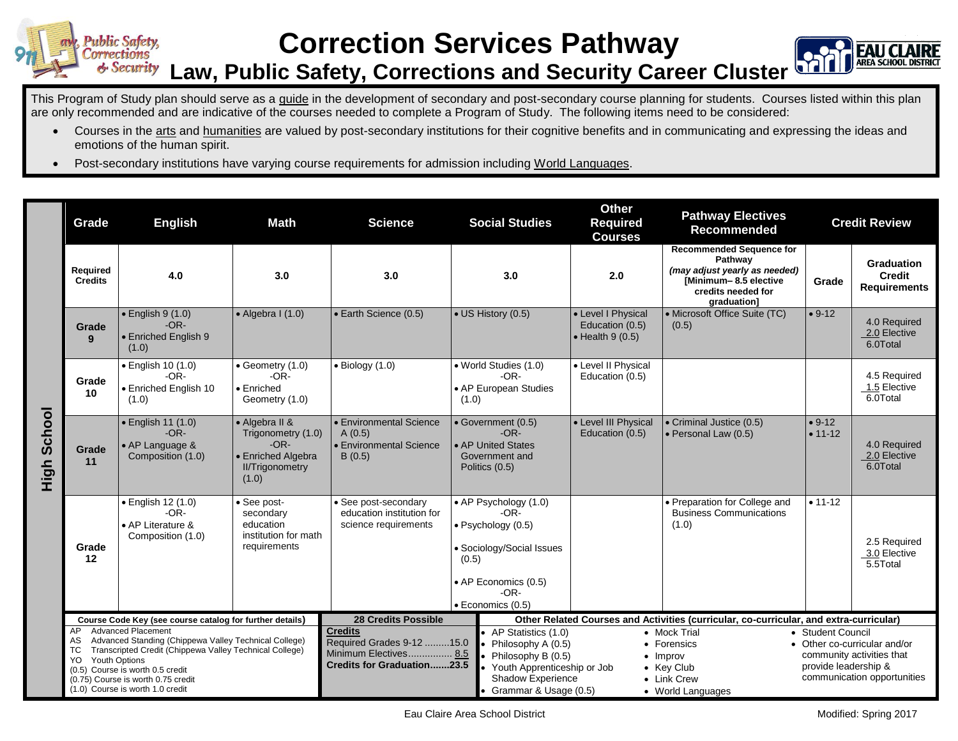## **Correction Services Pathway Law, Public Safety, Corrections and Security Career Cluster**

This Program of Study plan should serve as a guide in the development of secondary and post-secondary course planning for students. Courses listed within this plan are only recommended and are indicative of the courses needed to complete a Program of Study. The following items need to be considered:

- Courses in the arts and humanities are valued by post-secondary institutions for their cognitive benefits and in communicating and expressing the ideas and emotions of the human spirit.
- Post-secondary institutions have varying course requirements for admission including World Languages.

|                | Grade                                                                                                                                                                                                                                                                                                  | <b>English</b>                                                         | <b>Math</b>                                                                                             | <b>Science</b>                                                                                                                                                                                                                 | <b>Social Studies</b>                                                                                                                                      | <b>Other</b><br><b>Pathway Electives</b><br><b>Required</b><br><b>Recommended</b><br><b>Courses</b>                              |                                                                                                                                           | <b>Credit Review</b>                                                                                                                  |                                                    |
|----------------|--------------------------------------------------------------------------------------------------------------------------------------------------------------------------------------------------------------------------------------------------------------------------------------------------------|------------------------------------------------------------------------|---------------------------------------------------------------------------------------------------------|--------------------------------------------------------------------------------------------------------------------------------------------------------------------------------------------------------------------------------|------------------------------------------------------------------------------------------------------------------------------------------------------------|----------------------------------------------------------------------------------------------------------------------------------|-------------------------------------------------------------------------------------------------------------------------------------------|---------------------------------------------------------------------------------------------------------------------------------------|----------------------------------------------------|
|                | Required<br><b>Credits</b>                                                                                                                                                                                                                                                                             | 4.0                                                                    | 3.0                                                                                                     | 3.0                                                                                                                                                                                                                            | 3.0                                                                                                                                                        | 2.0                                                                                                                              | <b>Recommended Sequence for</b><br>Pathway<br>(may adjust yearly as needed)<br>[Minimum-8.5 elective<br>credits needed for<br>graduation] | Grade                                                                                                                                 | Graduation<br><b>Credit</b><br><b>Requirements</b> |
|                | Grade<br>9                                                                                                                                                                                                                                                                                             | $\bullet$ English 9 (1.0)<br>$-OR-$<br>• Enriched English 9<br>(1.0)   | $\bullet$ Algebra I (1.0)                                                                               | • Earth Science (0.5)                                                                                                                                                                                                          | • US History (0.5)                                                                                                                                         | • Level I Physical<br>Education (0.5)<br>$\bullet$ Health 9 (0.5)                                                                | • Microsoft Office Suite (TC)<br>(0.5)                                                                                                    | $• 9-12$                                                                                                                              | 4.0 Required<br>2.0 Elective<br>6.0Total           |
| School<br>High | Grade<br>10                                                                                                                                                                                                                                                                                            | · English 10 (1.0)<br>$-OR-$<br>• Enriched English 10<br>(1.0)         | • Geometry (1.0)<br>$-OR-$<br>$\bullet$ Enriched<br>Geometry (1.0)                                      | $\bullet$ Biology (1.0)                                                                                                                                                                                                        | · World Studies (1.0)<br>$-OR-$<br>• AP European Studies<br>(1.0)                                                                                          | • Level II Physical<br>Education (0.5)                                                                                           |                                                                                                                                           |                                                                                                                                       | 4.5 Required<br>1.5 Elective<br>6.0Total           |
|                | Grade<br>11                                                                                                                                                                                                                                                                                            | • English 11 (1.0)<br>$-OR-$<br>• AP Language &<br>Composition (1.0)   | • Algebra II &<br>Trigonometry (1.0)<br>$-OR-$<br>• Enriched Algebra<br><b>II/Trigonometry</b><br>(1.0) | • Environmental Science<br>A(0.5)<br>• Environmental Science<br>B(0.5)                                                                                                                                                         | • Government (0.5)<br>$-OR-$<br>• AP United States<br>Government and<br>Politics (0.5)                                                                     | • Level III Physical<br>Education (0.5)                                                                                          | • Criminal Justice (0.5)<br>• Personal Law (0.5)                                                                                          | $• 9-12$<br>$• 11 - 12$                                                                                                               | 4.0 Required<br>2.0 Elective<br>6.0Total           |
|                | Grade<br>12                                                                                                                                                                                                                                                                                            | • English 12 (1.0)<br>$-OR-$<br>• AP Literature &<br>Composition (1.0) | • See post-<br>secondary<br>education<br>institution for math<br>requirements                           | • See post-secondary<br>education institution for<br>science requirements                                                                                                                                                      | • AP Psychology (1.0)<br>$-OR-$<br>· Psychology (0.5)<br>• Sociology/Social Issues<br>(0.5)<br>• AP Economics (0.5)<br>$-OR-$<br>$\bullet$ Economics (0.5) |                                                                                                                                  | • Preparation for College and<br><b>Business Communications</b><br>(1.0)                                                                  | $• 11 - 12$                                                                                                                           | 2.5 Required<br>3.0 Elective<br>5.5Total           |
|                | Course Code Key (see course catalog for further details)                                                                                                                                                                                                                                               |                                                                        |                                                                                                         | <b>28 Credits Possible</b>                                                                                                                                                                                                     |                                                                                                                                                            | Other Related Courses and Activities (curricular, co-curricular, and extra-curricular)                                           |                                                                                                                                           |                                                                                                                                       |                                                    |
|                | <b>Advanced Placement</b><br>AP<br>Advanced Standing (Chippewa Valley Technical College)<br>AS.<br>Transcripted Credit (Chippewa Valley Technical College)<br>ТC<br>Youth Options<br>YO.<br>(0.5) Course is worth 0.5 credit<br>(0.75) Course is worth 0.75 credit<br>(1.0) Course is worth 1.0 credit |                                                                        |                                                                                                         | <b>Credits</b><br>• AP Statistics (1.0)<br>Required Grades 9-12 15.0<br>Philosophy A (0.5)<br>Minimum Electives 8.5<br>• Philosophy B (0.5)<br><b>Credits for Graduation23.5</b><br>Shadow Experience<br>Grammar & Usage (0.5) |                                                                                                                                                            | • Mock Trial<br>• Forensics<br>$\bullet$ Improv<br>Youth Apprenticeship or Job<br>• Key Club<br>• Link Crew<br>• World Languages |                                                                                                                                           | • Student Council<br>• Other co-curricular and/or<br>community activities that<br>provide leadership &<br>communication opportunities |                                                    |